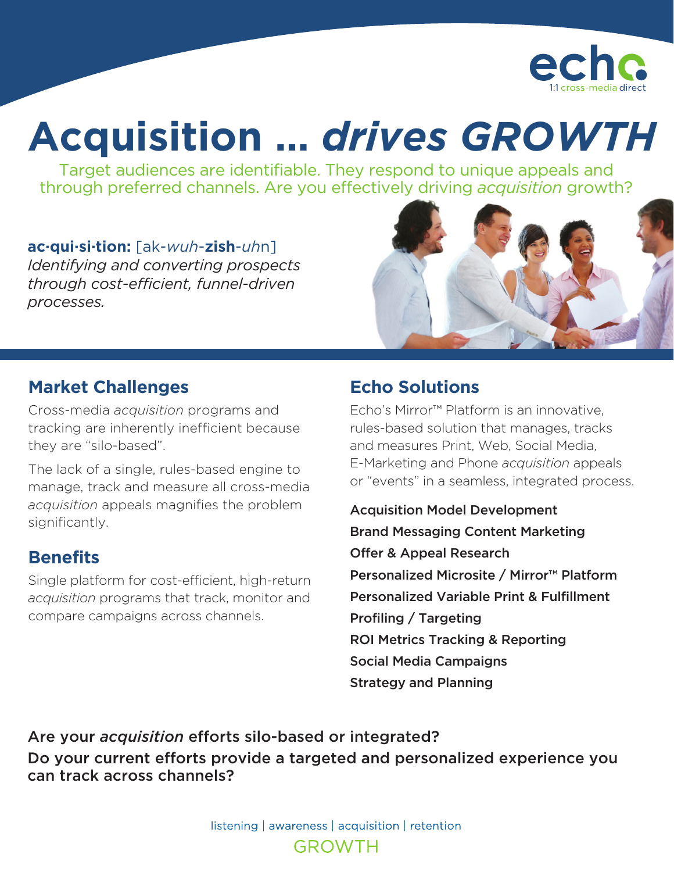

# **Acquisition …** *drives GROWTH*

Target audiences are identifiable. They respond to unique appeals and through preferred channels. Are you effectively driving *acquisition* growth?

**ac·qui·si·tion:** [ak-*wuh*-**zish**-*uh*n] *Identifying and converting prospects through cost-efficient, funnel-driven processes.*



#### **Market Challenges**

Cross-media *acquisition* programs and tracking are inherently inefficient because they are "silo-based".

The lack of a single, rules-based engine to manage, track and measure all cross-media *acquisition* appeals magnifies the problem significantly.

#### **Benefits**

Single platform for cost-efficient, high-return *acquisition* programs that track, monitor and compare campaigns across channels.

## **Echo Solutions**

Echo's Mirror™ Platform is an innovative, rules-based solution that manages, tracks and measures Print, Web, Social Media, E-Marketing and Phone *acquisition* appeals or "events" in a seamless, integrated process.

Acquisition Model Development Brand Messaging Content Marketing Offer & Appeal Research Personalized Microsite / Mirror™ Platform Personalized Variable Print & Fulfillment Profiling / Targeting ROI Metrics Tracking & Reporting Social Media Campaigns Strategy and Planning

Are your *acquisition* efforts silo-based or integrated? Do your current efforts provide a targeted and personalized experience you can track across channels?

> listening | awareness | acquisition | retention **GROWTH**